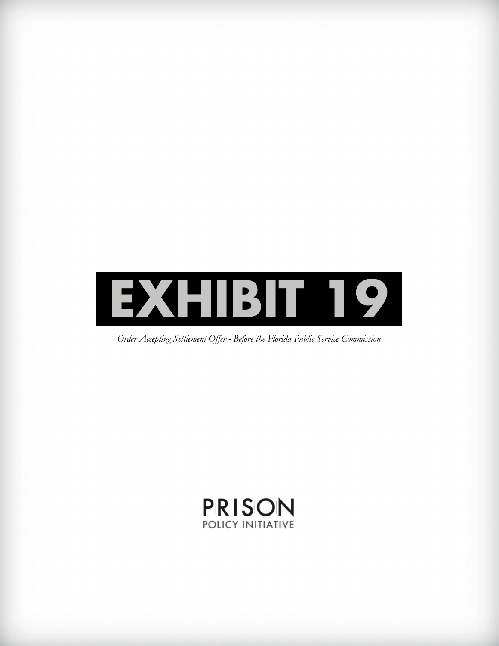

*Order Accepting Settlement Offer - Before the Florida Public Service Commission*

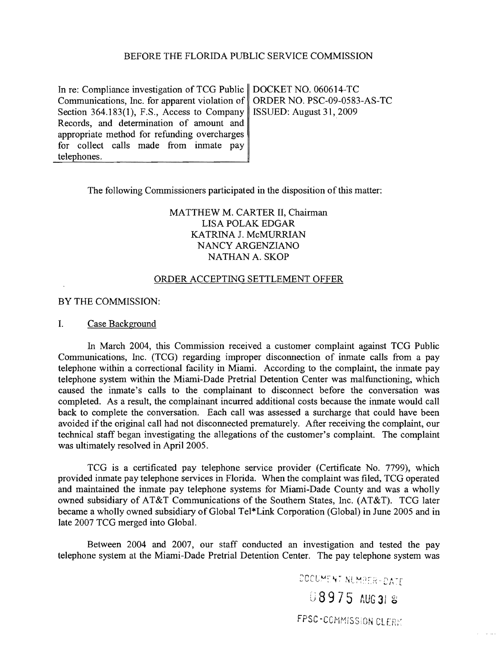### BEFORE THE FLORIDA PUBLIC SERVICE COMMISSION

In re: Compliance investigation of TCG Public | DOCKET NO. 060614-TC Communications, Inc. for apparent violation of ORDER NO. PSC-09-0583-AS-TC Section 364.183(1), F.S., Access to Company | ISSUED: August 31, 2009 Records, and determination of amount and appropriate method for refunding overcharges for collect calls made from inmate pay telephones.

The following Commissioners participated in the disposition of this matter:

# MATTHEW M. CARTER II, Chairman LISA POLAK EDGAR KATRINA J. McMURRIAN NANCY ARGENZIANO NATHAN A. SKOP

### ORDER ACCEPTING SETTLEMENT OFFER

BY THE COMMISSION:

### I. Case Background

In March 2004, this Commission received a customer complaint against TCG Public Communications, Inc. (TCG) regarding improper disconnection of inmate calls from a pay telephone within a correctional facility in Miami. According to the complaint, the inmate pay telephone system within the Miami-Dade Pretrial Detention Center was malfunctioning, which caused the inmate's calls to the complainant to disconnect before the conversation was completed. As a result, the complainant incurred additional costs because the inmate would call back to complete the conversation. Each call was assessed a surcharge that could have been avoided if the original call had not disconnected prematurely. After receiving the complaint, our technical staff began investigating the allegations of the customer's complaint. The complaint was ultimately resolved in April 2005.

TCG is a certificated pay telephone service provider (Certificate No. 7799), which provided inmate pay telephone services in Florida. When the complaint was filed, TCG operated and maintained the inmate pay telephone systems for Miami-Dade County and was a wholly owned subsidiary of AT&T Communications of the Southern States, Inc. (AT&T). TCG later became a wholly owned subsidiary of Global Tel\*Link Corporation (Global) in June 2005 and in late 2007 TCG merged into Global.

Between 2004 and 2007, our staff conducted an investigation and tested the pay telephone system at the Miami-Dade Pretrial Detention Center. The pay telephone system was

DOCUMENT NUMBER-DATE

08975 AUG 31 8

FPSC-COMMISSION CLERK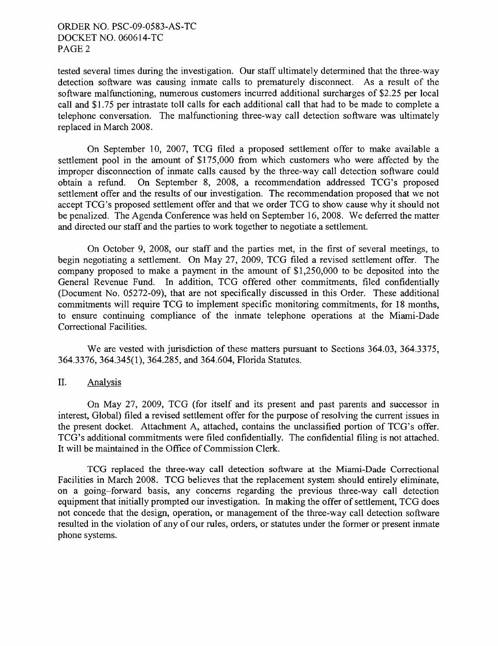tested several times during the investigation. Our staff ultimately determined that the three-way detection software was causing inmate calls to prematurely disconnect. As a result of the software malfunctioning, numerous customers incurred additional surcharges of \$2.25 per local call and \$1.75 per intrastate toll calls for each additional call that had to be made to complete a telephone conversation. The malfunctioning three-way call detection software was ultimately replaced in March 2008.

On September 10, 2007, TCG filed a proposed settlement offer to make available a settlement pool in the amount of \$175,000 from which customers who were affected by the improper disconnection of inmate calls caused by the three-way call detection software could obtain a refund. On September 8, 2008, a recommendation addressed TCG's proposed settlement offer and the results of our investigation. The recommendation proposed that we not accept TCG's proposed settlement offer and that we order TCG to show cause why it should not be penalized. The Agenda Conference was held on September 16, 2008. We deferred the matter and directed our staff and the parties to work together to negotiate a settlement.

On October 9, 2008, our staff and the parties met, in the first of several meetings, to begin negotiating a settlement. On May 27, 2009, TCG filed a revised settlement offer. The company proposed to make a payment in the amount of \$1,250,000 to be deposited into the General Revenue Fund. In addition, TCG offered other commitments, filed confidentially (Document No. 05272-09), that are not specifically discussed in this Order. These additional commitments will require TCG to implement specific monitoring commitments, for 18 months, to ensure continuing compliance of the inmate telephone operations at the Miami-Dade Correctional Facilities.

We are vested with jurisdiction of these matters pursuant to Sections 364.03, 364.3375, 364.3376,364.345(1),364.285, and 364.604, Florida Statutes.

## II. Analysis

On May 27, 2009, TCG (for itself and its present and past parents and successor in interest, Global) filed a revised settlement offer for the purpose of resolving the current issues in the present docket. Attachment A, attached, contains the unclassified portion of TCG's offer. TCG's additional commitments were filed confidentially. The confidential filing is not attached. It will be maintained in the Office of Commission Clerk.

TCG replaced the three-way call detection software at the Miami-Dade Correctional Facilities in March 2008. TCG believes that the replacement system should entirely eliminate, on a going-forward basis, any concerns regarding the previous three-way call detection equipment that initially prompted our investigation. In making the offer of settlement, TCG does not concede that the design, operation, or management of the three-way call detection software resulted in the violation of any of our rules, orders, or statutes under the former or present inmate phone systems.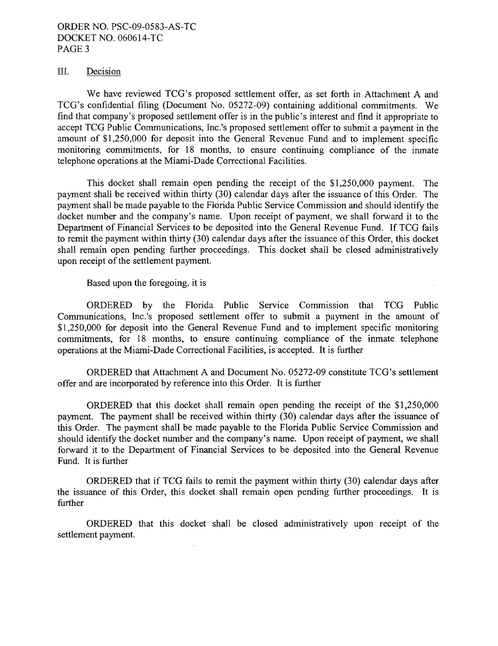## III. Decision

We have reviewed TCG's proposed settlement offer, as set forth in Attachment A and TCG's confidential filing (Document No. 05272-09) containing additional commitments. We find that company's proposed settlement offer is in the public's interest and find it appropriate to accept TCG Public Communications, Inc.'s proposed settlement offer to submit a payment in the amount of \$1,250,000 for deposit into the General Revenue Fund and to implement specific monitoring commitments, for 18 months, to ensure continuing compliance of the inmate telephone operations at the Miami-Dade Correctional Facilities.

This docket shall remain open pending the receipt of the \$1,250,000 payment. The payment shall be received within thirty (30) calendar days after the issuance of this Order. The payment shall be made payable to the Florida Public Service Commission and should identify the docket number and the company's name. Upon receipt of payment, we shall forward it to the Department of Financial Services to be deposited into the General Revenue Fund. If TCG fails to remit the payment within thirty (30) calendar days after the issuance of this Order, this docket shall remain open pending further proceedings. This docket shall be closed administratively upon receipt of the settlement payment.

Based upon the foregoing, it is

ORDERED by the Florida Public Service Commission that TCG Public Communications, Inc.'s proposed settlement offer to submit a payment in the amount of \$1,250,000 for deposit into the General Revenue Fund and to implement specific monitoring commitments, for 18 months, to ensure continuing compliance of the inmate telephone operations at the Miami-Dade Correctional Facilities, is accepted. It is further

ORDERED that Attachment A and Document No. 05272-09 constitute TCG's settlement offer and are incorporated by reference into this Order. It is further

ORDERED that this docket shall remain open pending the receipt of the \$1,250,000 payment. The payment shall be received within thirty (30) calendar days after the issuance of this Order. The payment shall be made payable to the Florida Public Service Commission and should identify the docket number and the company's name. Upon receipt of payment, we shall forward it to the Department of Financial Services to be deposited into the General Revenue Fund. It is further

ORDERED that if TCG fails to remit the payment within thirty (30) calendar days after the issuance of this Order, this docket shall remain open pending further proceedings. It is further

ORDERED that this docket shall be closed administratively upon receipt of the settlement payment.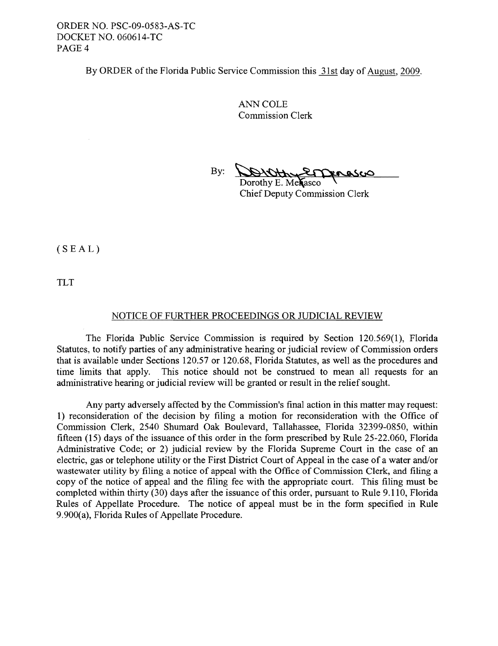By ORDER of the Florida Public Service Commission this 31st day of August, 2009.

ANN COLE Commission Clerk

By: **DONOthung Denasco** 

Dorothy E. Mexasco Chief Deputy Commission Clerk

 $(SEAL)$ 

TLT

### NOTICE OF FURTHER PROCEEDINGS OR JUDICIAL REVIEW

The Florida Public Service Commission is required by Section 120.569(1), Florida Statutes, to notify parties of any administrative hearing or judicial review of Commission orders that is available under Sections 120.57 or 120.68, Florida Statutes, as well as the procedures and time limits that apply. This notice should not be construed to mean all requests for an administrative hearing or judicial review will be granted or result in the relief sought.

Any party adversely affected by the Commission's final action in this matter may request: 1) reconsideration of the decision by filing a motion for reconsideration with the Office of Commission Clerk, 2540 Shumard Oak Boulevard, Tallahassee, Florida 32399-0850, within fifteen (15) days of the issuance of this order in the form prescribed by Rule 25-22.060, Florida Administrative Code; or 2) judicial review by the Florida Supreme Court in the case of an electric, gas or telephone utility or the First District Court of Appeal in the case of a water and/or wastewater utility by filing a notice of appeal with the Office of Commission Clerk, and filing a copy of the notice of appeal and the filing fee with the appropriate court. This filing must be completed within thirty (30) days after the issuance of this order, pursuant to Rule 9.110, Florida Rules of Appellate Procedure. The notice of appeal must be in the form specified in Rule 9.900(a), Florida Rules of Appellate Procedure.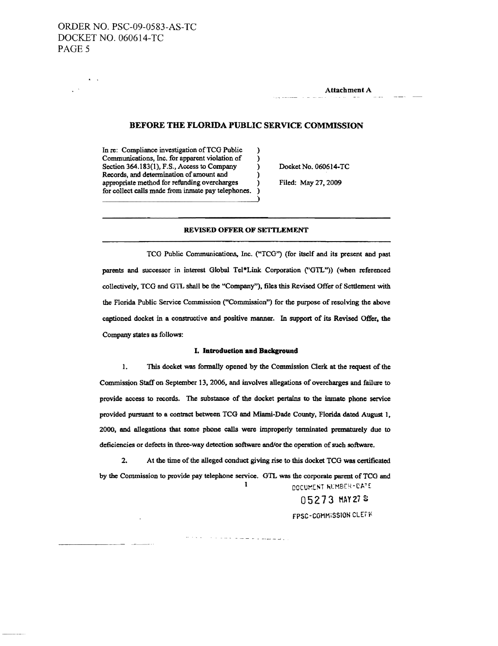$\mathbf{x} = \mathbf{y}$ 

Attachment A

### BEFORE THE FLORIDA PUBLIC SERVICE COMMISSION

In re: Compliance investigation of TCG Public ) Communications, Inc. for apparent violation of ) Section 364.183(1), F.S., Access to Company Docket No. 060614-TC Records, and determination of amount and appropriate method for refunding overcharges ) Filed: May 27, 2009 for collect calls made from inmate pay telephones. )

### REVISED OFFER OF SETfLEMENT

)

TCG Public Communications, Inc. ("TCG") (for itself and its present and past parents and successor in interest Global Tel\*Link Corporation ("GTL")) (when referenced collectively, TCa and G11. shall be the "Company"), files this Revised Offer of Settlement with the Florida Public Service Commission ("Commission") for the purpose ofresolving the above captioned docket in a constructive and positive manner. In support of its Revised Offer, the Company states as follows:

#### I. **Introduction and Background**

1. This docket was fonnally opened by the Commission Clerk at the request of the Commission Staff on September 13, 2006, and involves allegations of overcharges and failure to provide access to records. The substance of the docket pertains to the inmate phone service provided pursuant to a contract between TCG and Miami-Dade County, Florida dated August 1, 2000, and allegations that some phone calls were improperly terminated prematurely due to deficiencies or defects in three-way detection software and/or the operation of such software.

2. At the time of the alleged conduct giving rise to this docket TCG was certificated by the Commission to provide pay telephone service. GTL was the corporate parent of TCG and DOCUMENT RUMBER-DATE 1

الرضاعة فقطفات مراساتهم الجامدة والرازد

05273 HAY 278 FPSC-COMMISSION CLEFIK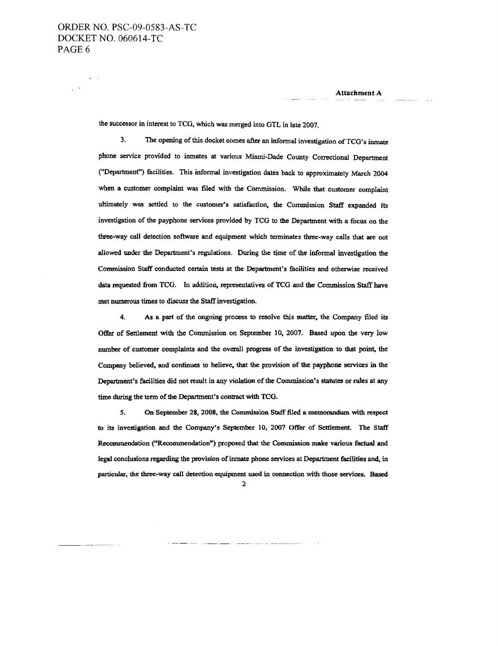$\frac{1}{2}$  .

Attachment A

the successor in interest to TCO, which was merged into OTL in late 2007.

3. The opening of this docket comes after an informal investigation of TCG's inmate phone service provided to inmates at various Miami-Dade County Correctional Department ("Departmenf') facilities. This informal investigation dates back to approximately March 2004 when a customer complaint was filed with the Commission. While that customer complaint ultimately was settled to the customer's satisfaction, the Commission Staff expanded its investigation of the payphone services provided by TCO to the Department with a focus on the three-way call detection software and equipment which terminates three-way calls that are not allowed under the Department's regulations. During the time of the informal investigation the Commission Staff conducted certain tests at the Department's facilities and otherwise received data requested from TCO. In addition, representatives of TCO and the Commission Staff have met numerous times to discuss the Staff investigation.

4. As a part of the ongoing process to resolve this matter, the Company filed its Offer of Settlement with the Commission on September 10, 2007. Based upon the very low number of customer complaints and the overall progress of the investigation to that point, the Company believed, and continues to believe, that the provision of the payphone services in the Department's facilities did not result in any violation of the Commission's statutes or rules at any time during the term of the Department's contract with TCG.

5. On September 28, 2008, the Commission Staff filed a memorandum with respect to its investigation and the Company's September 10. 2007 Offer of Settlement. The Staff Recommendation ("Recommendation") proposed that the Commission make various factual and legal conclusions regarding the provision of inmate phono services at Department facilities and, in particular, the three-way call detection equipment used in connection with those services. Based

<sup>2</sup>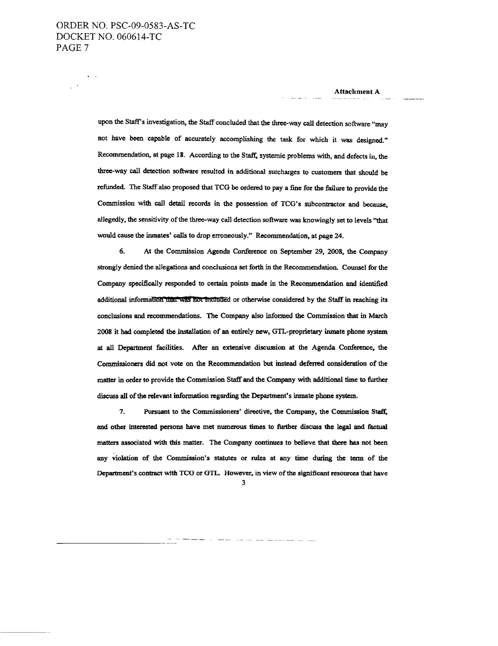upon the Staff's investigation, the Staff concluded that the three-way call detection software "may not have been capable of accurately accomplishing the task for which it was designed." Recommendation, at page 18. According to the Staff, systemic problems with, and defects in, the three-way call detection software resulted in additional surcharges to customers that should be refunded. The Staff also proposed that TCO be ordered to pay a fine for the failure to provide the Commission with call detail records in the possession of TCO's subcontractor and because, allegedly, the sensitivity of the three-way call detection software was knowingly set to levels "that would cause the inmates' calls to drop erroneously." Recommendation, at page 24.

6. At the Commission Agenda Conference on September 29, 2008, the Company strongly denied the allegations and conclusions set forth in the Recommendation. Counsel for the Company specifically responded to certain points made in the Recommendation and identified additional information that was not included or otherwise considered by the Staff in reaching its conclusions and recommendations. The Company also informed the Commission that in March 2008 it had completed the installation of an entirely new, OTL-proprietary inmate phone system at all Department facilities. After an extensive discussion at the Agenda Conference, the Commissioners did not vote on the Recommendation but instead deferred consideration of the matter in order to provide the Commission Staff and the Company with additional time to further discuss all of the relevant information regarding the Department's inmate phone system.

7. Pursuant to the Commissioners' directive, the Company, the Commission Staff, and other interested persons have met numerous times to further discuss the legal and factual matters associated with this matter. The Company continues to believe that there bas not been any violation of the Commission's statutes or rules at any time during the term of the Department's contract with TCG or GTL. However, in view of the significant resources that have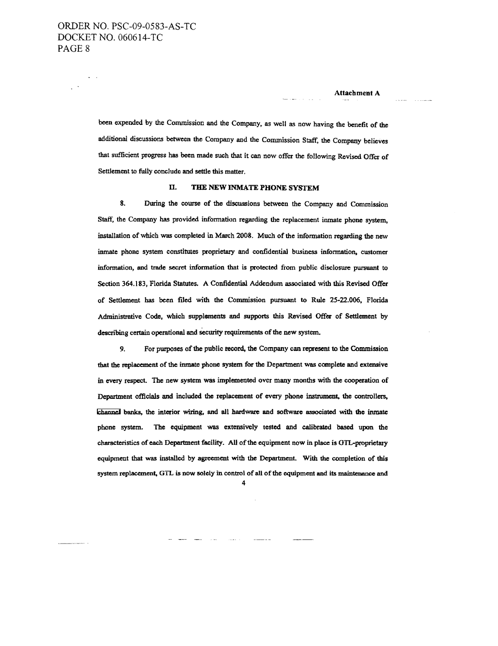been expended by the Commission and the Company, as well as now having the benefit of the additional discussions between the Company and the Commission Staff, the Company believes that sufficient progress has been made such that it can now offer the following Revised Offer of Settlement to fuliy conclude and settle this matter.

#### II. THE NEW INMATE PHONE SYSTEM

8. During the course of the discussions between the Company and Commission Staff, the Company has provided information regarding the replacement inmate phone system, installation of which was completed in March 2008. Much of the information regarding the new inmate phone system constitutes proprietary and confidential business infonnation. customer information, and trade secret information that is protected from public disclosure pursuant to Section 364.183, Florida Statutes. A Confidential Addendum associated with this Revised Offer of Settlement has been filed with the Commission pursuant to Rule 25-22.006, Florida Administrative Code, which supplements and supports this Revised Offer of Settlement by describing certain operational and security requirements of the new system.

9. For purposes of the public record, the Company can represent to the Commission that the replacement of the inmate phone system for the Department was complete and extensive in every respect. The new system was implemented over many months with the cooperation of Department officials and included the replacement of every phone instrument, the controllers, channel banks, the interior wiring, and all hardware and software associated with the inmate phone system. The equipment was extensively tested and calibrated based upon the characteristics of each Department facility. All of the equipment now in place is GTL-proprietary equipment that was installed by agreement with the Department. With the completion of this system replacement, GTL is now solely in control of all of the equipment and its maintenance and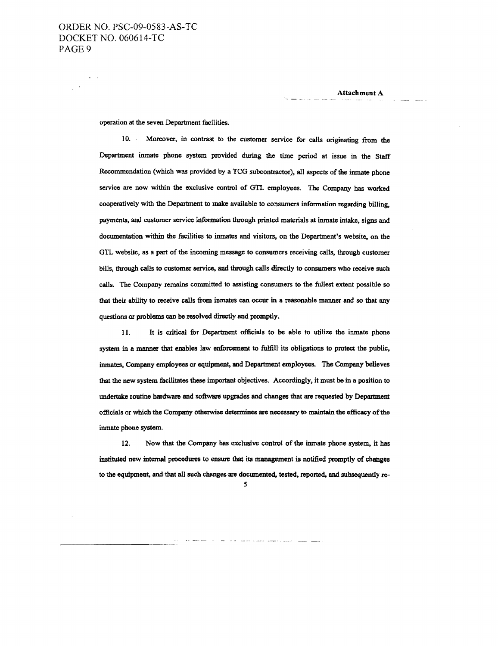operation at the seven Department facilities.

10. Moreover, in contrast to the customer service for calls originating from the Department inmate phone system provided during the time period at issue in the Staff Recommendation (which was provided by a TCG subcontractor), all aspects of the inmate phone service are now within the exclusive control of GTL employees. The Company has worked cooperatively with the Department to make available to consumers information regarding billing, payments, and customer service information through printed materials at inmate intake, signs and documentation within the facilities to inmates and visitors, on the Department's website, on the GTL website, as a part of the incoming message to consumers receiving calls, through customer bills, through calls to customer service, and through calls directly to consumers who receive such calls. The Company remains committed to assisting consumers to the fullest extent possible so that their ability to receive calls from inmates can occur in a reasonable manner and so that any questions or problems can be resolved directly and promptly.

11. It is critical for Department officials to be able to utilize the inmate phone system in a manner that enables law enforcement to fulfill its obligations to protect the public, inmates, Company employees or equipment, and Department employees. 'The Company believes that the new system facilitates these important objectives. Accordingly, it must be in a position to undertake routine hardware and software upgrades and changes that are requested by Department officials or which the Company otherwise determines are necessary to maintain the efficacy of the inmate phone system.

12. Now that the Company has exclusive control of the inmate phone system, it has instituted new internal procedures to ensure that its management is notified promptly of changes to the equipment, and that all such changes are documented, tested, reported, and subsequently re-

*S*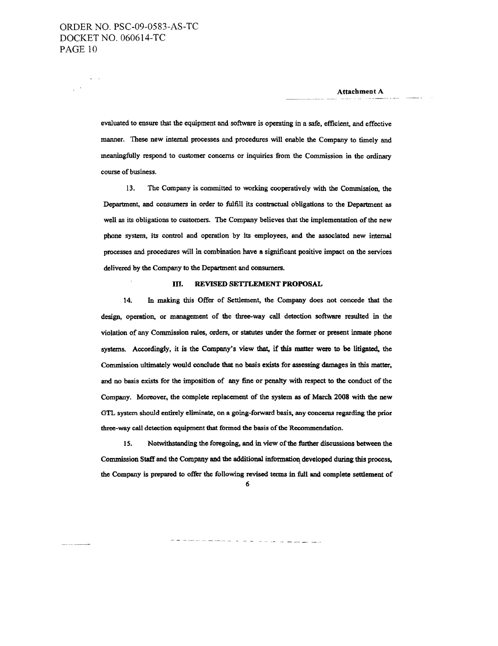$\sim$   $\sim$ 

 $\varphi\rightarrow$ 

Attachment A

evaluated to ensure that the equipment and software is operating in a safe, efficient, and effective manner. These new internal processes and procedures will enable the Company to timely and meaningfully respond to customer concerns or inquiries from the Commission in the ordinary course of business.

13. The Company is committed to working cooperatively with the Commission, the Department, and conswners in order to fulfill its contractual obligations to the Department as well as its obligations to customers. The Company believes that the implementation of the new phone system, its control and operation by its employees, and the associated new internal processes and procedures will in combination have a significant positive impact on the services delivered by the Company to the Department and conswners.

#### In. REVISED SETTLEMENT PROPOSAL

14. In making this Offer of Settlement, the Company does not concede that the design, operation, or management of the three-way call detection software resulted in the violation of any Commission rules, orders, or statutes under the fonner or present inmate phone systems. Accordingly, it is the Company's view that, if this matter were to be litigated, the Commission ultimately would conclude that no basis exists for assessing damages in this matter, and no basis exists for the imposition of any fine or penalty with respect to the conduct of the Company. Moreover, the complete replacement of the system as of March 2008 with the new GTL system should entirely eliminate, on a going-forward basis, any concerns regarding the prior three-way call detection equipment that formed the basis of the Recommendation.

15. Notwithstanding the foregoing. and in view ofthe further discussions between the Commission Staff and the Company and the additional information developed during this process, the Company is prepared to offer the following revised terms in full and complete settlement of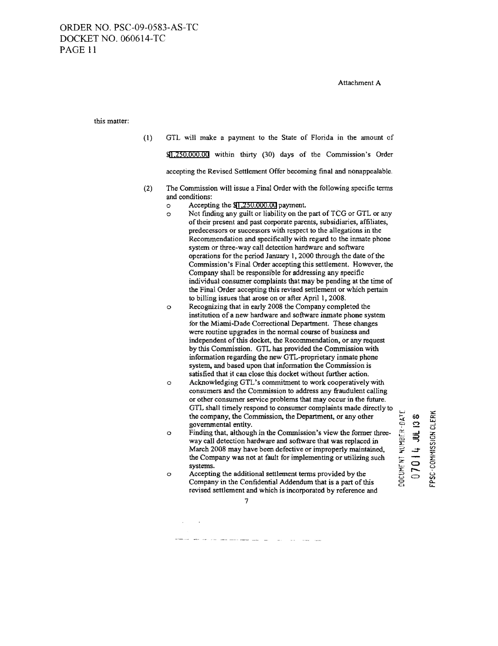#### Attachment A

this matter:

- (I) GTL will make a payment to the State of Florida in the amount of \$1,250,000.00 within thirty (30) days of the Commission's Order accepting the Revised Settlement Offer becoming final and nonappealable.
- (2) The Commission will issue a Final Order with the following specific terms and conditions:
	- o Accepting the \$1,250.000.00 payment.
	- o Not finding any guilt or liability on the part of TCG or GTL or any of their present and past corporate parents, subsidiaries, affiliates, predecessors or successors with respect to the allegations in the Recommendation and specifically with regard to the inmate phone system or three-way call detection hardware and software operations for the period January 1,2000 through the date of the Commission's Final Order accepting this settlement. However, the Company shall be responsible for addressing any specific individual consumer complaints that may be pending at the time of the Final Order accepting this revised settlement or which pertain to billing issues that arose on or after April 1, 2008.
	- o Recognizing that in early 2008 the Company completed the institution of a new hardware and software inmate phone system for the Miami-Dade Correctional Department. These changes were routine upgrades in the normal course of business and independent of this docket, the Recommendation, or any request by this Commission. GTL has provided the Commission with information regarding the new GTL-proprietary inmate phone system, and based upon that information the Commission is satisfied that it can close this docket without further action.
	- o Acknowledging GTL's commitment to work cooperatively with consumers and the Commission to address any fraudulent calling or other consumer service problems that may occur in the future. GTL shall timely respond to consumer complaints made directly to the company, the Commission, the Department, or any other governmental entity.
	- o Finding that, although in the Commission's view the former threeway call detection hardware and software that was replaced in March 2008 may have been defective or improperly maintained, the Company was not at fault for implementing or utilizing such systems.
	- o Accepting the additional settlement terms provided by the Company in the Confidential Addendum that is a part of this revised settlement and which is incorporated by reference and

 $\begin{matrix} 1 & 1 \\ 0 & 2 \end{matrix}$  if  $\begin{matrix} 1 \\ 2 \end{matrix}$ U  $\frac{12}{25}$  =  $\frac{12}{25}$   $\frac{12}{25}$ есит хи<br>0 **7 0 1 4**<br>97 - сомиз: ~ ឌ <u>ឧ</u>

;

 $\tilde{\mathfrak{c}}$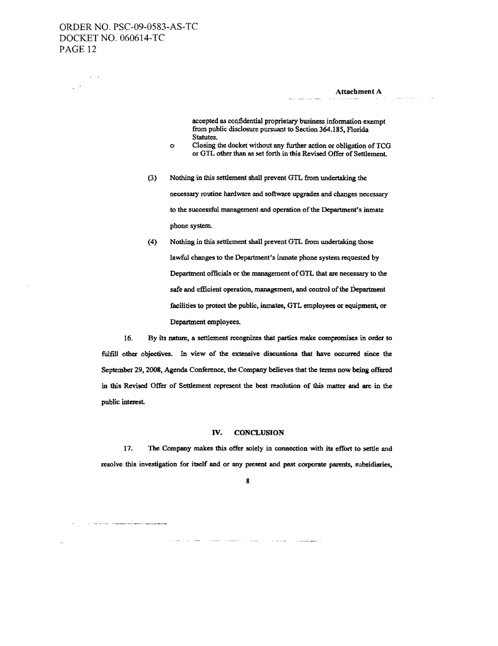$\label{eq:3} \mathcal{L}^{\mathcal{A}}(\mathcal{A}^{\mathcal{A}}(\mathcal{A}^{\mathcal{A}}),\mathcal{A}^{\mathcal{A}}(\mathcal{A}^{\mathcal{A}})) = \mathcal{L}^{\mathcal{A}}(\mathcal{A}^{\mathcal{A}}(\mathcal{A}^{\mathcal{A}}),\mathcal{A}^{\mathcal{A}}(\mathcal{A}^{\mathcal{A}}),\mathcal{A}^{\mathcal{A}}(\mathcal{A}^{\mathcal{A}}),\mathcal{A}^{\mathcal{A}}(\mathcal{A}^{\mathcal{A}}),\mathcal{A}^{\mathcal{A}}(\mathcal{A}^{\mathcal{$ 

 $\omega$  .

 $\mathcal{L}^{(1)}$ 

Attachment A

accepted as confidential proprietary business information exempt from public disclosure pursuant to Section 364.185, Florida Statutes.

- o Closing the docket without any further action or obligation of TCG or GTL other than as set forth in this Revised Offer of Settlement.
- (3) Nothing in this settlement shall prevent GTL from undertaking the necessary routine hardware and software upgrades and changes necessary to the successful management and operation of the Department's inmate phone system.
- (4) Nothing in this settlement shall prevent GTL from undertaking those lawful changes to the Department's inmate phone system requested by Department officials or the management of GTL that are necessary to the safe and efficient operation, management, and control of the Department facilities to protect the public, inmates, GTL employees or equipment, or Department employees.

16. By its nature, a settlement recognizes that parties make compromises in order to fulfiU other objectives. In view of the extensive diseussions that have occurred since the September 29, 2008. Agenda Conference. the Company believes that the terms now being offered in this Revised Offer of Settlement represent the best resolution of this matter and are in the public interest.

#### IV. CONCLUSION

17. The Company makes this offer solely in connection with its effort to settle and resolve this investigation for itself and or any present and past corporate parents, subsidiaries,

8

**Summer College Commer**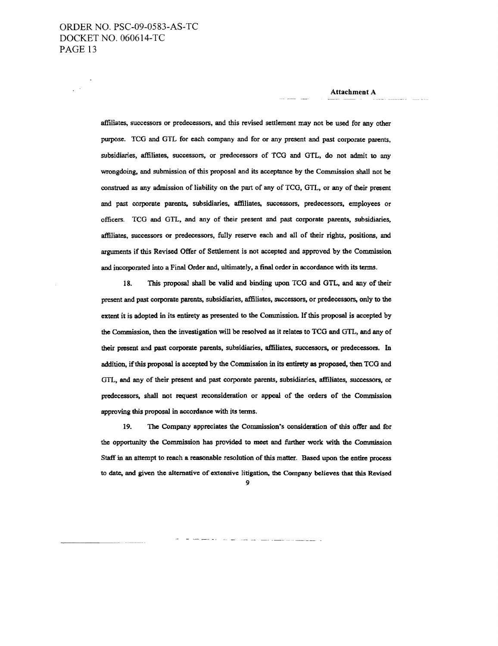affiliates, successors or predecessors, and this revised settlement may not be used for any other purpose. TCO and OTL for each company and for or any present and past corpomte parents, subsidiaries, affiliates, successors, or predecessors of TCO and OTL, do not admit to any wrongdoing, and submission of this proposal and its acceptance by the Commission shall not be construed as any admission of liability on the part of any of TCO, OTL. or any of their present and past corporate parents. subsidiaries. affiliates. successors, predecessors. employees or officers. TCO and OTL. and any of their present and past corporate parents. subsidiaries. affiliates, successors or predecessors, fully reserve each and all of their rights, positions, and arguments if this Revised Offer of Settlement is not accepted and approved by the Commission and incorpomted into a Final Order and, ultimately, a final order in accordance with its terms.

18. This proposal shall be valid and binding upon TCO and OTL, and any of their present and past corpomte parents. subsidiaries, affiliates, successors, or predecessors. only to the extent it is adopted in its entirety as presented to the Commission. If this proposal is accepted by the Commission, then the investigation will be resolved as it relates to TCG and GTL, and any of their present and past corporate parents, subsidiaries, affiliates. successors. or predecessors. In addition, if this proposal is accepted by the Commission in its entirety as proposed, then TCG and OTL, and any of their present and past corporate parents, subsidiaries. affiliates. successors. or predecessors, shall not request reconsideration or appeal of the orders of the COmmission approving this proposal in accordance with its terms.

19. The Company appreciates the Commission's consideration of this offer and for the opportunity the Commission has provided to meet and further work with the Commission Staff in an attempt to reach a reasonable resolution of this matter. Based upon the entire process to date. and given the alternative of extensive litigation. the Company believes that this Revised